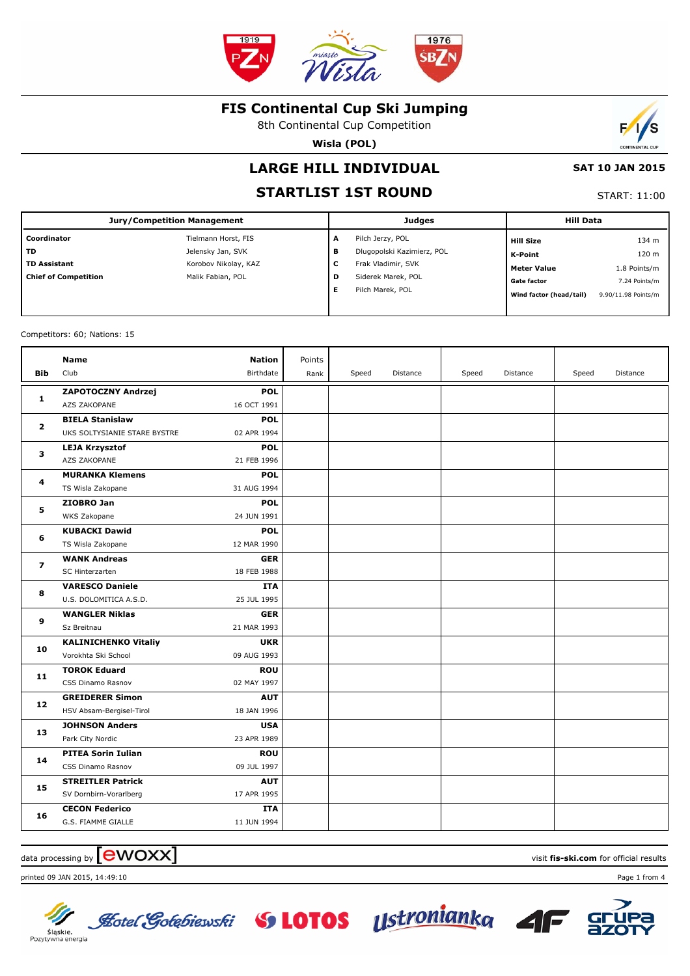

8th Continental Cup Competition

**Wisla (POL)**

# **LARGE HILL INDIVIDUAL**

# **STARTLIST 1ST ROUND**

| <b>START: 11:00</b> |  |
|---------------------|--|

 **SAT 10 JAN 2015**

Đ

s

| <b>Jury/Competition Management</b> |                      |   | <b>Judges</b>              | <b>Hill Data</b>        |                     |  |
|------------------------------------|----------------------|---|----------------------------|-------------------------|---------------------|--|
| Coordinator                        | Tielmann Horst, FIS  | A | Pilch Jerzy, POL           | <b>Hill Size</b>        | 134 m               |  |
| <b>TD</b>                          | Jelensky Jan, SVK    | в | Dlugopolski Kazimierz, POL | K-Point                 | 120 m               |  |
| <b>TD Assistant</b>                | Korobov Nikolay, KAZ | c | Frak Vladimir, SVK         | <b>Meter Value</b>      | 1.8 Points/m        |  |
| <b>Chief of Competition</b>        | Malik Fabian, POL    | D | Siderek Marek, POL         | <b>Gate factor</b>      | 7.24 Points/m       |  |
|                                    |                      | Е | Pilch Marek, POL           | Wind factor (head/tail) | 9.90/11.98 Points/m |  |
|                                    |                      |   |                            |                         |                     |  |

Competitors: 60; Nations: 15

| Club<br>Birthdate<br><b>Bib</b><br>Speed<br>Distance<br>Speed<br>Speed<br>Distance<br>Distance<br>Rank<br>ZAPOTOCZNY Andrzej<br><b>POL</b><br>1<br>AZS ZAKOPANE<br>16 OCT 1991<br><b>BIELA Stanislaw</b><br><b>POL</b><br>$\mathbf{2}$<br>UKS SOLTYSIANIE STARE BYSTRE<br>02 APR 1994<br><b>POL</b><br><b>LEJA Krzysztof</b><br>3<br>AZS ZAKOPANE<br>21 FEB 1996<br><b>MURANKA Klemens</b><br><b>POL</b><br>4<br>TS Wisla Zakopane<br>31 AUG 1994<br><b>POL</b><br>ZIOBRO Jan<br>5<br>24 JUN 1991<br>WKS Zakopane<br><b>KUBACKI Dawid</b><br><b>POL</b><br>6<br>12 MAR 1990<br>TS Wisla Zakopane<br><b>WANK Andreas</b><br><b>GER</b><br>7<br>18 FEB 1988<br>SC Hinterzarten<br><b>VARESCO Daniele</b><br><b>ITA</b><br>8<br>U.S. DOLOMITICA A.S.D.<br>25 JUL 1995<br><b>WANGLER Niklas</b><br><b>GER</b><br>9<br>Sz Breitnau<br>21 MAR 1993<br><b>KALINICHENKO Vitaliy</b><br><b>UKR</b><br>10<br>Vorokhta Ski School<br>09 AUG 1993<br><b>TOROK Eduard</b><br><b>ROU</b><br>11<br>CSS Dinamo Rasnov<br>02 MAY 1997<br><b>GREIDERER Simon</b><br><b>AUT</b><br>12<br>HSV Absam-Bergisel-Tirol<br>18 JAN 1996<br><b>JOHNSON Anders</b><br><b>USA</b><br>13<br>Park City Nordic<br>23 APR 1989<br><b>PITEA Sorin Iulian</b><br><b>ROU</b><br>14<br>09 JUL 1997<br>CSS Dinamo Rasnov<br><b>STREITLER Patrick</b><br><b>AUT</b><br>15<br>SV Dornbirn-Vorarlberg<br>17 APR 1995<br><b>CECON Federico</b><br><b>ITA</b><br>16<br>G.S. FIAMME GIALLE<br>11 JUN 1994 |  | <b>Name</b> | <b>Nation</b> | Points |  |  |  |
|---------------------------------------------------------------------------------------------------------------------------------------------------------------------------------------------------------------------------------------------------------------------------------------------------------------------------------------------------------------------------------------------------------------------------------------------------------------------------------------------------------------------------------------------------------------------------------------------------------------------------------------------------------------------------------------------------------------------------------------------------------------------------------------------------------------------------------------------------------------------------------------------------------------------------------------------------------------------------------------------------------------------------------------------------------------------------------------------------------------------------------------------------------------------------------------------------------------------------------------------------------------------------------------------------------------------------------------------------------------------------------------------------------------------------------------------------------------|--|-------------|---------------|--------|--|--|--|
|                                                                                                                                                                                                                                                                                                                                                                                                                                                                                                                                                                                                                                                                                                                                                                                                                                                                                                                                                                                                                                                                                                                                                                                                                                                                                                                                                                                                                                                               |  |             |               |        |  |  |  |
|                                                                                                                                                                                                                                                                                                                                                                                                                                                                                                                                                                                                                                                                                                                                                                                                                                                                                                                                                                                                                                                                                                                                                                                                                                                                                                                                                                                                                                                               |  |             |               |        |  |  |  |
|                                                                                                                                                                                                                                                                                                                                                                                                                                                                                                                                                                                                                                                                                                                                                                                                                                                                                                                                                                                                                                                                                                                                                                                                                                                                                                                                                                                                                                                               |  |             |               |        |  |  |  |
|                                                                                                                                                                                                                                                                                                                                                                                                                                                                                                                                                                                                                                                                                                                                                                                                                                                                                                                                                                                                                                                                                                                                                                                                                                                                                                                                                                                                                                                               |  |             |               |        |  |  |  |
|                                                                                                                                                                                                                                                                                                                                                                                                                                                                                                                                                                                                                                                                                                                                                                                                                                                                                                                                                                                                                                                                                                                                                                                                                                                                                                                                                                                                                                                               |  |             |               |        |  |  |  |
|                                                                                                                                                                                                                                                                                                                                                                                                                                                                                                                                                                                                                                                                                                                                                                                                                                                                                                                                                                                                                                                                                                                                                                                                                                                                                                                                                                                                                                                               |  |             |               |        |  |  |  |
|                                                                                                                                                                                                                                                                                                                                                                                                                                                                                                                                                                                                                                                                                                                                                                                                                                                                                                                                                                                                                                                                                                                                                                                                                                                                                                                                                                                                                                                               |  |             |               |        |  |  |  |
|                                                                                                                                                                                                                                                                                                                                                                                                                                                                                                                                                                                                                                                                                                                                                                                                                                                                                                                                                                                                                                                                                                                                                                                                                                                                                                                                                                                                                                                               |  |             |               |        |  |  |  |
|                                                                                                                                                                                                                                                                                                                                                                                                                                                                                                                                                                                                                                                                                                                                                                                                                                                                                                                                                                                                                                                                                                                                                                                                                                                                                                                                                                                                                                                               |  |             |               |        |  |  |  |
|                                                                                                                                                                                                                                                                                                                                                                                                                                                                                                                                                                                                                                                                                                                                                                                                                                                                                                                                                                                                                                                                                                                                                                                                                                                                                                                                                                                                                                                               |  |             |               |        |  |  |  |
|                                                                                                                                                                                                                                                                                                                                                                                                                                                                                                                                                                                                                                                                                                                                                                                                                                                                                                                                                                                                                                                                                                                                                                                                                                                                                                                                                                                                                                                               |  |             |               |        |  |  |  |
|                                                                                                                                                                                                                                                                                                                                                                                                                                                                                                                                                                                                                                                                                                                                                                                                                                                                                                                                                                                                                                                                                                                                                                                                                                                                                                                                                                                                                                                               |  |             |               |        |  |  |  |
|                                                                                                                                                                                                                                                                                                                                                                                                                                                                                                                                                                                                                                                                                                                                                                                                                                                                                                                                                                                                                                                                                                                                                                                                                                                                                                                                                                                                                                                               |  |             |               |        |  |  |  |
|                                                                                                                                                                                                                                                                                                                                                                                                                                                                                                                                                                                                                                                                                                                                                                                                                                                                                                                                                                                                                                                                                                                                                                                                                                                                                                                                                                                                                                                               |  |             |               |        |  |  |  |
|                                                                                                                                                                                                                                                                                                                                                                                                                                                                                                                                                                                                                                                                                                                                                                                                                                                                                                                                                                                                                                                                                                                                                                                                                                                                                                                                                                                                                                                               |  |             |               |        |  |  |  |
|                                                                                                                                                                                                                                                                                                                                                                                                                                                                                                                                                                                                                                                                                                                                                                                                                                                                                                                                                                                                                                                                                                                                                                                                                                                                                                                                                                                                                                                               |  |             |               |        |  |  |  |
|                                                                                                                                                                                                                                                                                                                                                                                                                                                                                                                                                                                                                                                                                                                                                                                                                                                                                                                                                                                                                                                                                                                                                                                                                                                                                                                                                                                                                                                               |  |             |               |        |  |  |  |
|                                                                                                                                                                                                                                                                                                                                                                                                                                                                                                                                                                                                                                                                                                                                                                                                                                                                                                                                                                                                                                                                                                                                                                                                                                                                                                                                                                                                                                                               |  |             |               |        |  |  |  |
|                                                                                                                                                                                                                                                                                                                                                                                                                                                                                                                                                                                                                                                                                                                                                                                                                                                                                                                                                                                                                                                                                                                                                                                                                                                                                                                                                                                                                                                               |  |             |               |        |  |  |  |
|                                                                                                                                                                                                                                                                                                                                                                                                                                                                                                                                                                                                                                                                                                                                                                                                                                                                                                                                                                                                                                                                                                                                                                                                                                                                                                                                                                                                                                                               |  |             |               |        |  |  |  |
|                                                                                                                                                                                                                                                                                                                                                                                                                                                                                                                                                                                                                                                                                                                                                                                                                                                                                                                                                                                                                                                                                                                                                                                                                                                                                                                                                                                                                                                               |  |             |               |        |  |  |  |
|                                                                                                                                                                                                                                                                                                                                                                                                                                                                                                                                                                                                                                                                                                                                                                                                                                                                                                                                                                                                                                                                                                                                                                                                                                                                                                                                                                                                                                                               |  |             |               |        |  |  |  |
|                                                                                                                                                                                                                                                                                                                                                                                                                                                                                                                                                                                                                                                                                                                                                                                                                                                                                                                                                                                                                                                                                                                                                                                                                                                                                                                                                                                                                                                               |  |             |               |        |  |  |  |
|                                                                                                                                                                                                                                                                                                                                                                                                                                                                                                                                                                                                                                                                                                                                                                                                                                                                                                                                                                                                                                                                                                                                                                                                                                                                                                                                                                                                                                                               |  |             |               |        |  |  |  |
|                                                                                                                                                                                                                                                                                                                                                                                                                                                                                                                                                                                                                                                                                                                                                                                                                                                                                                                                                                                                                                                                                                                                                                                                                                                                                                                                                                                                                                                               |  |             |               |        |  |  |  |
|                                                                                                                                                                                                                                                                                                                                                                                                                                                                                                                                                                                                                                                                                                                                                                                                                                                                                                                                                                                                                                                                                                                                                                                                                                                                                                                                                                                                                                                               |  |             |               |        |  |  |  |
|                                                                                                                                                                                                                                                                                                                                                                                                                                                                                                                                                                                                                                                                                                                                                                                                                                                                                                                                                                                                                                                                                                                                                                                                                                                                                                                                                                                                                                                               |  |             |               |        |  |  |  |
|                                                                                                                                                                                                                                                                                                                                                                                                                                                                                                                                                                                                                                                                                                                                                                                                                                                                                                                                                                                                                                                                                                                                                                                                                                                                                                                                                                                                                                                               |  |             |               |        |  |  |  |
|                                                                                                                                                                                                                                                                                                                                                                                                                                                                                                                                                                                                                                                                                                                                                                                                                                                                                                                                                                                                                                                                                                                                                                                                                                                                                                                                                                                                                                                               |  |             |               |        |  |  |  |
|                                                                                                                                                                                                                                                                                                                                                                                                                                                                                                                                                                                                                                                                                                                                                                                                                                                                                                                                                                                                                                                                                                                                                                                                                                                                                                                                                                                                                                                               |  |             |               |        |  |  |  |
|                                                                                                                                                                                                                                                                                                                                                                                                                                                                                                                                                                                                                                                                                                                                                                                                                                                                                                                                                                                                                                                                                                                                                                                                                                                                                                                                                                                                                                                               |  |             |               |        |  |  |  |
|                                                                                                                                                                                                                                                                                                                                                                                                                                                                                                                                                                                                                                                                                                                                                                                                                                                                                                                                                                                                                                                                                                                                                                                                                                                                                                                                                                                                                                                               |  |             |               |        |  |  |  |
|                                                                                                                                                                                                                                                                                                                                                                                                                                                                                                                                                                                                                                                                                                                                                                                                                                                                                                                                                                                                                                                                                                                                                                                                                                                                                                                                                                                                                                                               |  |             |               |        |  |  |  |
|                                                                                                                                                                                                                                                                                                                                                                                                                                                                                                                                                                                                                                                                                                                                                                                                                                                                                                                                                                                                                                                                                                                                                                                                                                                                                                                                                                                                                                                               |  |             |               |        |  |  |  |

**Lotel Gotebiewski SS LOTOS Ustroniankg** 

## data processing by **CWOXX** and  $\blacksquare$  and  $\blacksquare$  and  $\blacksquare$  and  $\blacksquare$  and  $\blacksquare$  and  $\blacksquare$  and  $\blacksquare$  and  $\blacksquare$  and  $\blacksquare$  and  $\blacksquare$  and  $\blacksquare$  and  $\blacksquare$  and  $\blacksquare$  and  $\blacksquare$  and  $\blacksquare$  and  $\blacksquare$  and  $\blacksquare$  and  $\blacks$

printed 09 JAN 2015, 14:49:10 Page 1 from 4





Sląskie.<br>Pozytywna energia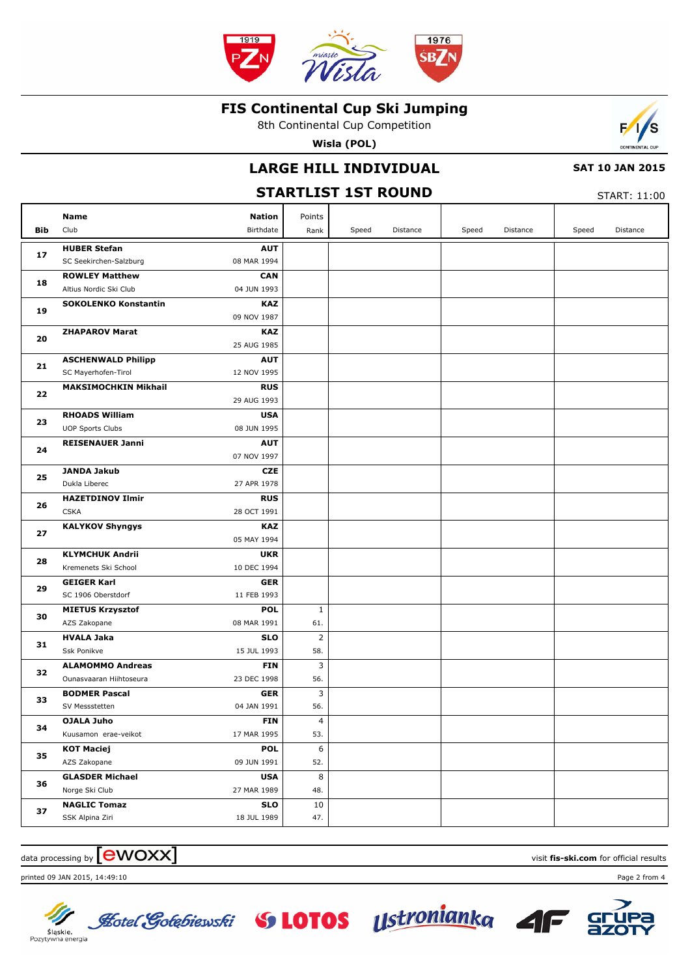

8th Continental Cup Competition

**Wisla (POL)**

## **LARGE HILL INDIVIDUAL**

#### **SAT 10 JAN 2015**

#### **STARTLIST 1ST ROUND** START: 11:00 **Bib Name** Club Birthdate **Nation** Speed Distance | Speed Distance | Speed Distance Points Rank **HUBER Stefan** SC Seekirchen-Salzburg **AUT** 08 MAR 1994 **17 ROWLEY Matthew** Altius Nordic Ski Club **CAN** 04 JUN 1993 **18 SOKOLENKO Konstantin KAZ** 09 NOV 1987 **19 ZHAPAROV Marat KAZ** 25 AUG 1985 **20 ASCHENWALD Philipp** SC Mayerhofen-Tirol **AUT** 12 NOV 1995 **21 MAKSIMOCHKIN Mikhail RUS** 29 AUG 1993 **22 RHOADS William** UOP Sports Clubs **USA** 08 JUN 1995 **23 REISENAUER Janni AUT** 07 NOV 1997 **24 JANDA Jakub** Dukla Liberec **CZE** 27 APR 1978 **25 HAZETDINOV Ilmir CSKA RUS** 28 OCT 1991 **26 KALYKOV Shyngys KAZ** 05 MAY 1994 **27 KLYMCHUK Andrii** Kremenets Ski School **UKR** 10 DEC 1994 **28 GEIGER Karl** SC 1906 Oberstdorf **GER** 11 FEB 1993 **29 MIETUS Krzysztof** AZS Zakopane **POL** 08 MAR 1991 **30** 61. 1 **HVALA Jaka** Ssk Ponikve **SLO** 15 JUL 1993 **31** 58. 2 **ALAMOMMO Andreas** Ounasvaaran Hiihtoseura **FIN** 23 DEC 1998 **32** 56. 3 **BODMER Pascal** SV Messstetten **GER** 04 JAN 1991 **33** 56. 3 **OJALA Juho** Kuusamon erae-veikot **FIN** 17 MAR 1995 **34** 53.  $\overline{A}$ **KOT Maciej** AZS Zakopane **POL** 09 JUN 1991 **35** 52.  $\overline{6}$ **GLASDER Michael USA 36** 8

27 MAR 1989

**SLO** 18 JUL 1989 48.

47. 10

## $\alpha$  data processing by  $\boxed{\text{ewOX}}$

printed 09 JAN 2015, 14:49:10 Page 2 from 4

Norge Ski Club

**NAGLIC Tomaz** SSK Alpina Ziri



Śląskie. Pozytywna energia

**37**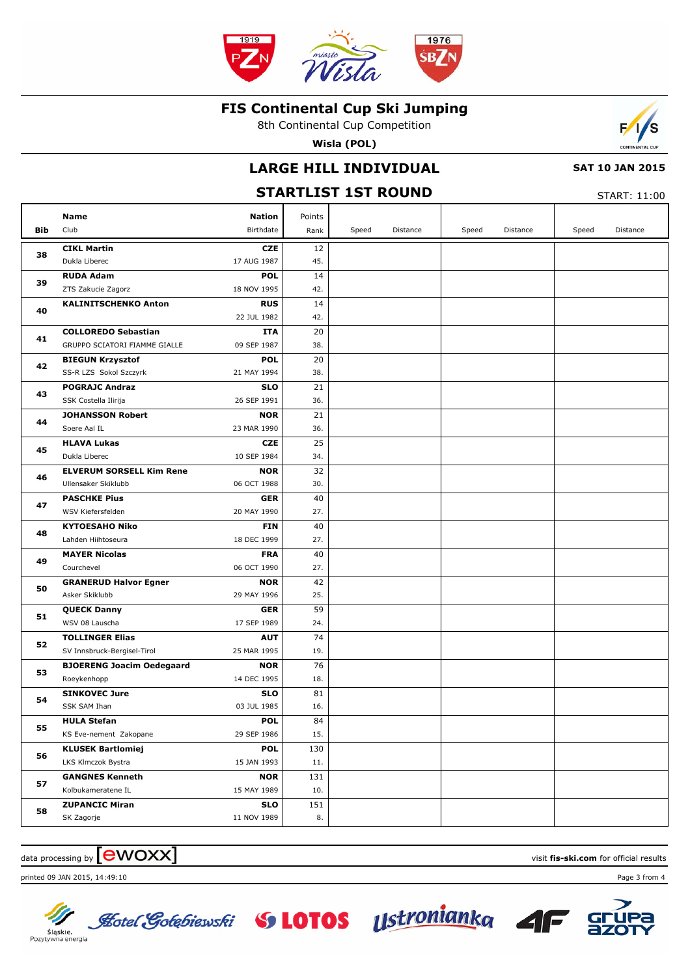

8th Continental Cup Competition

**Wisla (POL)**

## **LARGE HILL INDIVIDUAL**

#### **SAT 10 JAN 2015**

#### **STARTLIST 1ST ROUND** START: 11:00 **Bib Name** Club Birthdate **Nation** Speed Distance | Speed Distance | Speed Distance Points Rank **CIKL Martin** Dukla Liberec **CZE** 17 AUG 1987 **38** 45. 12 **RUDA Adam** ZTS Zakucie Zagorz **POL** 18 NOV 1995 **39** 42. 14 **KALINITSCHENKO Anton RUS** 22 JUL 1982 **40** 42. 14 **COLLOREDO Sebastian** GRUPPO SCIATORI FIAMME GIALLE **ITA** 09 SEP 1987 **41** 38. 20 **BIEGUN Krzysztof** SS-R LZS Sokol Szczyrk **POL** 21 MAY 1994 **42** 38.  $\overline{20}$ **POGRAJC Andraz** SSK Costella Ilirija **SLO** 26 SEP 1991 **43** 36. 21 **JOHANSSON Robert** Soere Aal IL **NOR** 23 MAR 1990 **44** 36.  $\overline{21}$ **HLAVA Lukas** Dukla Liberec **CZE** 10 SEP 1984 **45** 34. 25 **ELVERUM SORSELL Kim Rene** Ullensaker Skiklubb **NOR** 06 OCT 1988 **46** 30. 32 **PASCHKE Pius** WSV Kiefersfelden **GER** 20 MAY 1990 **47** 27. 40 **KYTOESAHO Niko** Lahden Hiihtoseura **FIN** 18 DEC 1999 **48** 27. 40 **MAYER Nicolas** Courchevel **FRA** 06 OCT 1990 **49** 27. 40 **GRANERUD Halvor Egner** Asker Skiklubb **NOR** 29 MAY 1996 **50** 25. 42 **QUECK Danny** WSV 08 Lauscha **GER** 17 SEP 1989 **51**  $24.$ 59 **TOLLINGER Elias** SV Innsbruck-Bergisel-Tirol **AUT** 25 MAR 1995 **52** 19. 74 **BJOERENG Joacim Oedegaard** Roeykenhopp **NOR** 14 DEC 1995 **53** 18. 76 **SINKOVEC Jure** SSK SAM Ihan **SLO** 03 JUL 1985 **54** 16. 81 **HULA Stefan** KS Eve-nement Zakopane **POL** 29 SEP 1986 **55** 15. 84 **KLUSEK Bartlomiej** LKS Klmczok Bystra **POL** 15 JAN 1993 **56** 11. 130 **GANGNES Kenneth** Kolbukameratene IL **NOR** 15 MAY 1989 **57** 10. 131 **ZUPANCIC Miran SLO 58** 151

## $\alpha$  data processing by  $\boxed{\text{ewOX}}$

printed 09 JAN 2015, 14:49:10 Page 3 from 4

SK Zagorje



Śląskie. Pozytywna energia



11 NOV 1989

8.